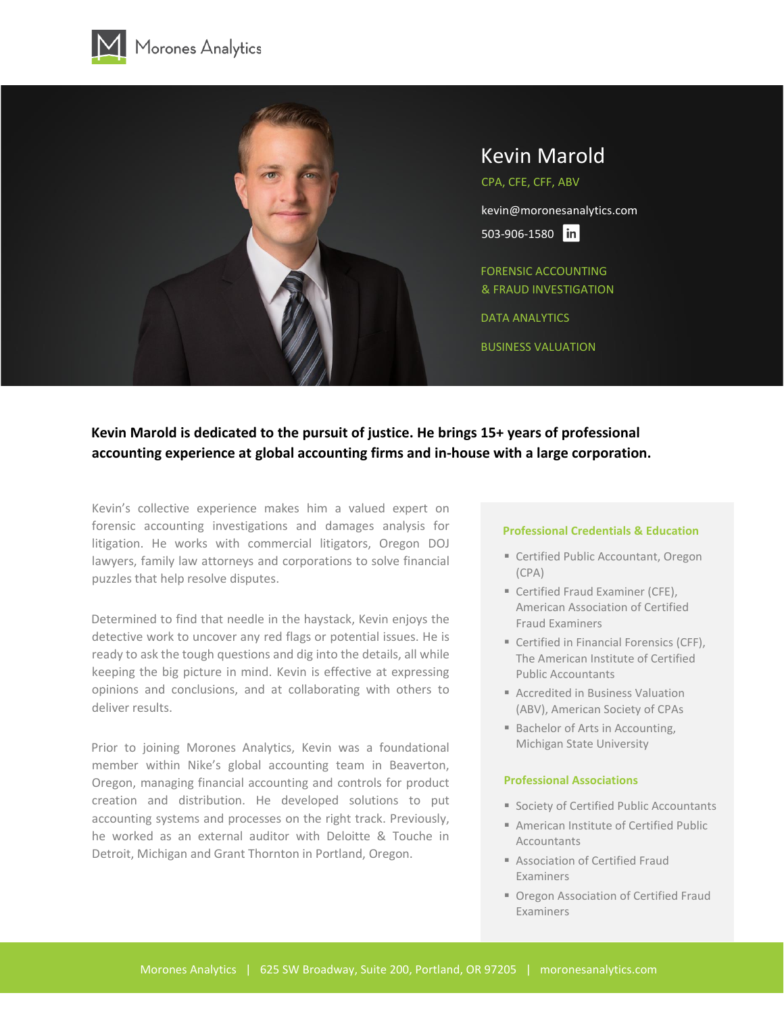



# Kevin Marold

CPA, CFE, CFF, ABV

kevin@moronesanalytics.com 503-906-1580 in

[FORENSIC ACCOUNTING](https://moronesanalytics.com/forensic-accounting-fraud-investigation/)  [& FRAUD INVESTIGATION](https://moronesanalytics.com/forensic-accounting-fraud-investigation/) [DATA ANALYTICS](https://moronesanalytics.com/data-analytics/)

[BUSINESS VALUATION](https://moronesanalytics.com/business-valuation/)

# **Kevin Marold is dedicated to the pursuit of justice. He brings 15+ years of professional accounting experience at global accounting firms and in-house with a large corporation.**

Kevin's collective experience makes him a valued expert on forensic accounting investigations and damages analysis for litigation. He works with commercial litigators, Oregon DOJ lawyers, family law attorneys and corporations to solve financial puzzles that help resolve disputes.

Determined to find that needle in the haystack, Kevin enjoys the detective work to uncover any red flags or potential issues. He is ready to ask the tough questions and dig into the details, all while keeping the big picture in mind. Kevin is effective at expressing opinions and conclusions, and at collaborating with others to deliver results.

Prior to joining Morones Analytics, Kevin was a foundational member within Nike's global accounting team in Beaverton, Oregon, managing financial accounting and controls for product creation and distribution. He developed solutions to put accounting systems and processes on the right track. Previously, he worked as an external auditor with Deloitte & Touche in Detroit, Michigan and Grant Thornton in Portland, Oregon.

#### **Professional Credentials & Education**

- **E** Certified Public Accountant, Oregon (CPA)
- **E** Certified Fraud Examiner (CFE), American Association of Certified Fraud Examiners
- Certified in Financial Forensics (CFF), The American Institute of Certified Public Accountants
- Accredited in Business Valuation (ABV), American Society of CPAs
- Bachelor of Arts in Accounting, Michigan State University

#### **Professional Associations**

- Society of Certified Public Accountants
- American Institute of Certified Public **Accountants**
- Association of Certified Fraud Examiners
- **Oregon Association of Certified Fraud** Examiners